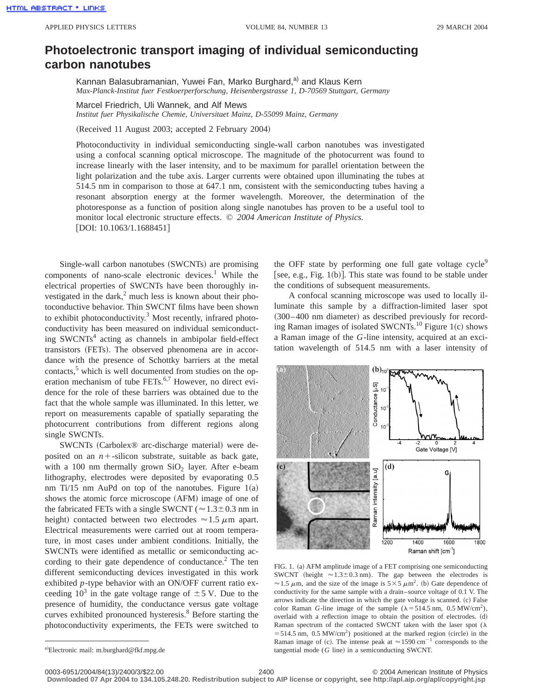## **Photoelectronic transport imaging of individual semiconducting carbon nanotubes**

Kannan Balasubramanian, Yuwei Fan, Marko Burghard,<sup>a)</sup> and Klaus Kern *Max-Planck-Institut fuer Festkoerperforschung, Heisenbergstrasse 1, D-70569 Stuttgart, Germany*

Marcel Friedrich, Uli Wannek, and Alf Mews *Institut fuer Physikalische Chemie, Universitaet Mainz, D-55099 Mainz, Germany*

(Received 11 August 2003; accepted 2 February 2004)

Photoconductivity in individual semiconducting single-wall carbon nanotubes was investigated using a confocal scanning optical microscope. The magnitude of the photocurrent was found to increase linearly with the laser intensity, and to be maximum for parallel orientation between the light polarization and the tube axis. Larger currents were obtained upon illuminating the tubes at 514.5 nm in comparison to those at 647.1 nm, consistent with the semiconducting tubes having a resonant absorption energy at the former wavelength. Moreover, the determination of the photoresponse as a function of position along single nanotubes has proven to be a useful tool to monitor local electronic structure effects. © *2004 American Institute of Physics.*  $[$ DOI: 10.1063/1.1688451 $]$ 

Single-wall carbon nanotubes (SWCNTs) are promising components of nano-scale electronic devices.<sup>1</sup> While the electrical properties of SWCNTs have been thoroughly investigated in the dark, $^2$  much less is known about their photoconductive behavior. Thin SWCNT films have been shown to exhibit photoconductivity. $3$  Most recently, infrared photoconductivity has been measured on individual semiconducting SWCNTs<sup>4</sup> acting as channels in ambipolar field-effect transistors (FETs). The observed phenomena are in accordance with the presence of Schottky barriers at the metal contacts,<sup>5</sup> which is well documented from studies on the operation mechanism of tube FETs.<sup>6,7</sup> However, no direct evidence for the role of these barriers was obtained due to the fact that the whole sample was illuminated. In this letter, we report on measurements capable of spatially separating the photocurrent contributions from different regions along single SWCNTs.

SWCNTs (Carbolex® arc-discharge material) were deposited on an  $n +$ -silicon substrate, suitable as back gate, with a 100 nm thermally grown  $SiO<sub>2</sub>$  layer. After e-beam lithography, electrodes were deposited by evaporating 0.5 nm Ti/15 nm AuPd on top of the nanotubes. Figure  $1(a)$ shows the atomic force microscope (AFM) image of one of the fabricated FETs with a single SWCNT ( $\approx 1.3 \pm 0.3$  nm in height) contacted between two electrodes  $\approx$  1.5  $\mu$ m apart. Electrical measurements were carried out at room temperature, in most cases under ambient conditions. Initially, the SWCNTs were identified as metallic or semiconducting according to their gate dependence of conductance. $<sup>2</sup>$  The ten</sup> different semiconducting devices investigated in this work exhibited *p*-type behavior with an ON/OFF current ratio exceeding  $10^3$  in the gate voltage range of  $\pm 5$  V. Due to the presence of humidity, the conductance versus gate voltage curves exhibited pronounced hysteresis.<sup>8</sup> Before starting the photoconductivity experiments, the FETs were switched to

the OFF state by performing one full gate voltage cycle $9$ [see, e.g., Fig. 1(b)]. This state was found to be stable under the conditions of subsequent measurements.

A confocal scanning microscope was used to locally illuminate this sample by a diffraction-limited laser spot  $(300-400$  nm diameter) as described previously for recording Raman images of isolated SWCNTs.<sup>10</sup> Figure 1 $(c)$  shows a Raman image of the *G*-line intensity, acquired at an excitation wavelength of 514.5 nm with a laser intensity of



FIG. 1. (a) AFM amplitude image of a FET comprising one semiconducting SWCNT (height  $\approx 1.3 \pm 0.3$  nm). The gap between the electrodes is  $\approx$  1.5  $\mu$ m, and the size of the image is 5  $\times$  5  $\mu$ m<sup>2</sup>. (b) Gate dependence of conductivity for the same sample with a drain–source voltage of 0.1 V. The arrows indicate the direction in which the gate voltage is scanned.  $(c)$  False color Raman *G*-line image of the sample  $(\lambda = 514.5 \text{ nm}, 0.5 \text{ MW/cm}^2)$ , overlaid with a reflection image to obtain the position of electrodes.  $(d)$ Raman spectrum of the contacted SWCNT taken with the laser spot  $(\lambda)$  $=$  514.5 nm, 0.5 MW/cm<sup>2</sup>) positioned at the marked region (circle) in the Raman image of (c). The intense peak at  $\approx 1590 \text{ cm}^{-1}$  corresponds to the tangential mode  $(G$  line) in a semiconducting SWCNT.

**Downloaded 07 Apr 2004 to 134.105.248.20. Redistribution subject to AIP license or copyright, see http://apl.aip.org/apl/copyright.jsp**

a)Electronic mail: m.burghard@fkf.mpg.de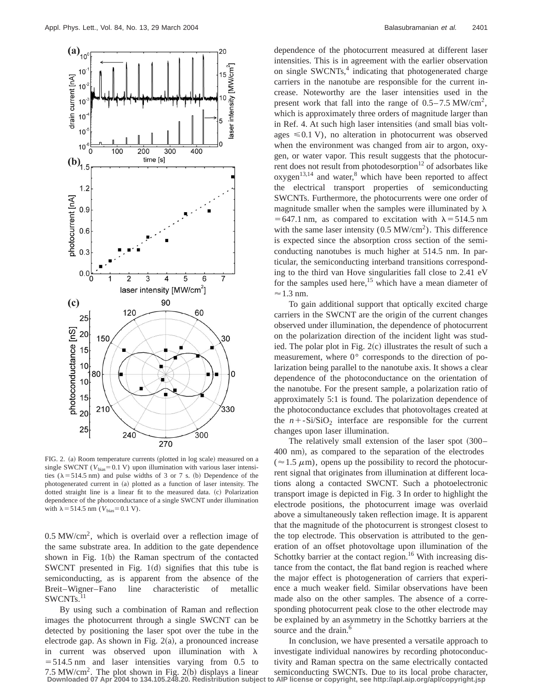

FIG. 2. (a) Room temperature currents (plotted in log scale) measured on a single SWCNT ( $V_{bias}$ =0.1 V) upon illumination with various laser intensities ( $\lambda$ =514.5 nm) and pulse widths of 3 or 7 s. (b) Dependence of the photogenerated current in (a) plotted as a function of laser intensity. The dotted straight line is a linear fit to the measured data. (c) Polarization dependence of the photoconductance of a single SWCNT under illumination with  $\lambda = 514.5$  nm ( $V_{bias} = 0.1$  V).

 $0.5 \text{ MW/cm}^2$ , which is overlaid over a reflection image of the same substrate area. In addition to the gate dependence shown in Fig.  $1(b)$  the Raman spectrum of the contacted SWCNT presented in Fig.  $1(d)$  signifies that this tube is semiconducting, as is apparent from the absence of the Breit–Wigner–Fano line characteristic of metallic SWCNTs.<sup>11</sup>

By using such a combination of Raman and reflection images the photocurrent through a single SWCNT can be detected by positioning the laser spot over the tube in the electrode gap. As shown in Fig.  $2(a)$ , a pronounced increase in current was observed upon illumination with  $\lambda$  $=$  514.5 nm and laser intensities varying from 0.5 to 7.5 MW/cm<sup>2</sup>. The plot shown in Fig. 2(b) displays a linear **Downloaded 07 Apr 2004 to 134.105.248.20. Redistribution subject to AIP license or copyright, see http://apl.aip.org/apl/copyright.jsp**

dependence of the photocurrent measured at different laser intensities. This is in agreement with the earlier observation on single SWCNTs, $4$  indicating that photogenerated charge carriers in the nanotube are responsible for the current increase. Noteworthy are the laser intensities used in the present work that fall into the range of  $0.5-7.5$  MW/cm<sup>2</sup>, which is approximately three orders of magnitude larger than in Ref. 4. At such high laser intensities (and small bias voltages  $\leq 0.1$  V), no alteration in photocurrent was observed when the environment was changed from air to argon, oxygen, or water vapor. This result suggests that the photocurrent does not result from photodesorption $12$  of adsorbates like  $oxygen<sup>13,14</sup>$  and water,<sup>8</sup> which have been reported to affect the electrical transport properties of semiconducting SWCNTs. Furthermore, the photocurrents were one order of magnitude smaller when the samples were illuminated by  $\lambda$ = 647.1 nm, as compared to excitation with  $\lambda$  = 514.5 nm with the same laser intensity  $(0.5 \text{ MW/cm}^2)$ . This difference is expected since the absorption cross section of the semiconducting nanotubes is much higher at 514.5 nm. In particular, the semiconducting interband transitions corresponding to the third van Hove singularities fall close to 2.41 eV for the samples used here,<sup>15</sup> which have a mean diameter of  $\approx$  1.3 nm.

To gain additional support that optically excited charge carriers in the SWCNT are the origin of the current changes observed under illumination, the dependence of photocurrent on the polarization direction of the incident light was studied. The polar plot in Fig.  $2(c)$  illustrates the result of such a measurement, where 0° corresponds to the direction of polarization being parallel to the nanotube axis. It shows a clear dependence of the photoconductance on the orientation of the nanotube. For the present sample, a polarization ratio of approximately 5:1 is found. The polarization dependence of the photoconductance excludes that photovoltages created at the  $n + Si/SiO<sub>2</sub>$  interface are responsible for the current changes upon laser illumination.

The relatively small extension of the laser spot  $(300-$ 400 nm), as compared to the separation of the electrodes  $(\approx 1.5 \mu \text{m})$ , opens up the possibility to record the photocurrent signal that originates from illumination at different locations along a contacted SWCNT. Such a photoelectronic transport image is depicted in Fig. 3 In order to highlight the electrode positions, the photocurrent image was overlaid above a simultaneously taken reflection image. It is apparent that the magnitude of the photocurrent is strongest closest to the top electrode. This observation is attributed to the generation of an offset photovoltage upon illumination of the Schottky barrier at the contact region.<sup>16</sup> With increasing distance from the contact, the flat band region is reached where the major effect is photogeneration of carriers that experience a much weaker field. Similar observations have been made also on the other samples. The absence of a corresponding photocurrent peak close to the other electrode may be explained by an asymmetry in the Schottky barriers at the source and the drain.<sup>6</sup>

In conclusion, we have presented a versatile approach to investigate individual nanowires by recording photoconductivity and Raman spectra on the same electrically contacted semiconducting SWCNTs. Due to its local probe character,